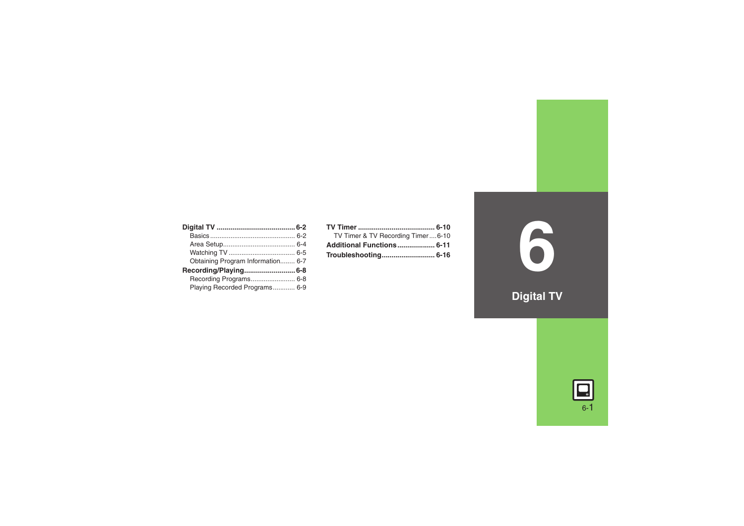| Obtaining Program Information 6-7 |  |
|-----------------------------------|--|
|                                   |  |
| Recording Programs 6-8            |  |
| Playing Recorded Programs 6-9     |  |

| TV Timer & TV Recording Timer6-10 |  |
|-----------------------------------|--|
| Additional Functions 6-11         |  |
|                                   |  |

**6**

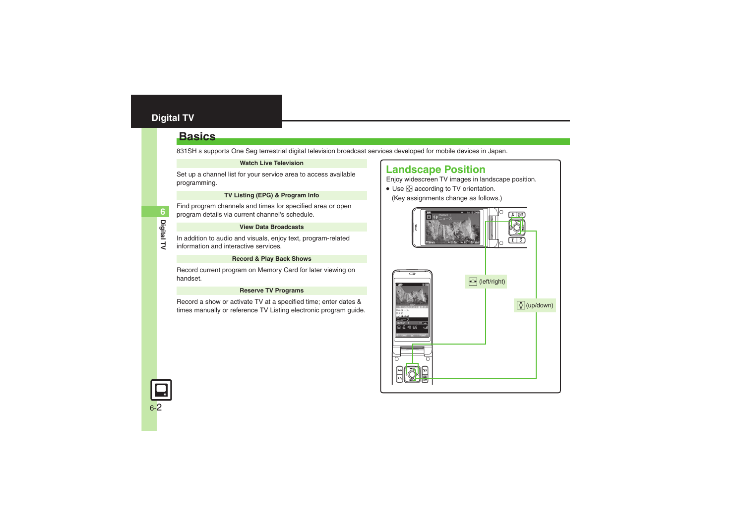### <span id="page-1-1"></span><span id="page-1-0"></span>**Basics**

831SH s supports One Seg terrestrial digital television broadcast services developed for mobile devices in Japan.

#### **Watch Live Television**

Set up a channel list for your service area to access available programming.

### **TV Listing (EPG) & Program Info**

Find program channels and times for specified area or open program details via current channel's schedule.

#### **View Data Broadcasts**

In addition to audio and visuals, enjoy text, program-related information and interactive services.

#### **Record & Play Back Shows**

Record current program on Memory Card for later viewing on handset.

#### **Reserve TV Programs**

Record a show or activate TV at a specified time; enter dates & times manually or reference TV Listing electronic program guide.

### **Landscape Position**

Enjoy widescreen TV images in landscape position.

 $\bullet$  Use  $\bullet$  according to TV orientation. (Key assignments change as follows.)



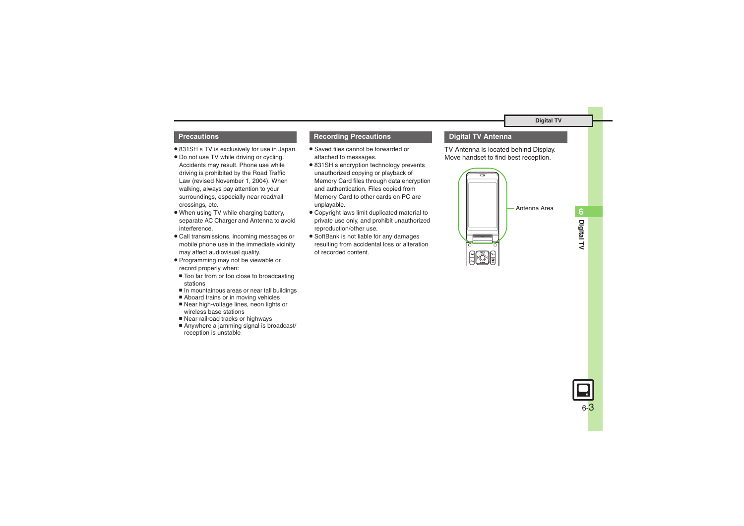### **Precautions**

- . 831SH s TV is exclusively for use in Japan.
- . Do not use TV while driving or cycling. Accidents may result. Phone use while driving is prohibited by the Road Traffic Law (revised November 1, 2004). When walking, always pay attention to your surroundings, especially near road/rail crossings, etc.
- . When using TV while charging battery, separate AC Charger and Antenna to avoid interference.
- . Call transmissions, incoming messages or mobile phone use in the immediate vicinity may affect audiovisual quality.
- . Programming may not be viewable or record properly when:
- Too far from or too close to broadcasting stations
- In mountainous areas or near tall buildings
- Aboard trains or in moving vehicles
- Near high-voltage lines, neon lights or wireless base stations
- Rear railroad tracks or highways
- $\blacksquare$  Anywhere a jamming signal is broadcast/ reception is unstable

### **Recording Precautions Digital TV Antenna**

- . Saved files cannot be forwarded or attached to messages.
- 831SH s encryption technology prevents unauthorized copying or playback of Memory Card files through data encryption and authentication. Files copied from Memory Card to other cards on PC are unplayable.
- . Copyright laws limit duplicated material to private use only, and prohibit unauthorized reproduction/other use.
- . SoftBank is not liable for any damages resulting from accidental loss or alteration of recorded content.

TV Antenna is located behind Display. Move handset to find best reception.



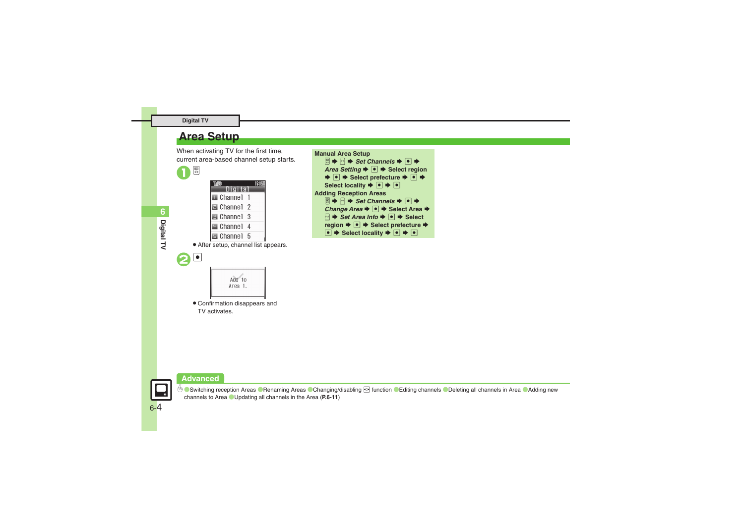### <span id="page-3-0"></span>**Area Setup**

When activating TV for the first time, current area-based channel setup starts.



 $\mathbf{2}$ 

| Digital                              | 15:051 |  |
|--------------------------------------|--------|--|
| Channel 1                            |        |  |
| <b>a</b> Channel 2                   |        |  |
| <b>B</b> Channel 3                   |        |  |
| Ghannel 4                            |        |  |
| $\blacksquare$ Channel 5             |        |  |
| • After setup, channel list appears. |        |  |



. Confirmation disappears and TV activates.



### **Advanced**

**6** [Switching reception Areas](#page-10-1) C[Renaming Areas](#page-10-2) C[Changing/disabling](#page-10-3) **of function C[Editing channels](#page-10-4) C[Deleting all channels in Area](#page-10-5) CAdding new** [channels to Area](#page-10-6) ([Updating all channels in the Area](#page-10-7) (**[P.6-11](#page-10-1)**)

**Digital TV**

6-4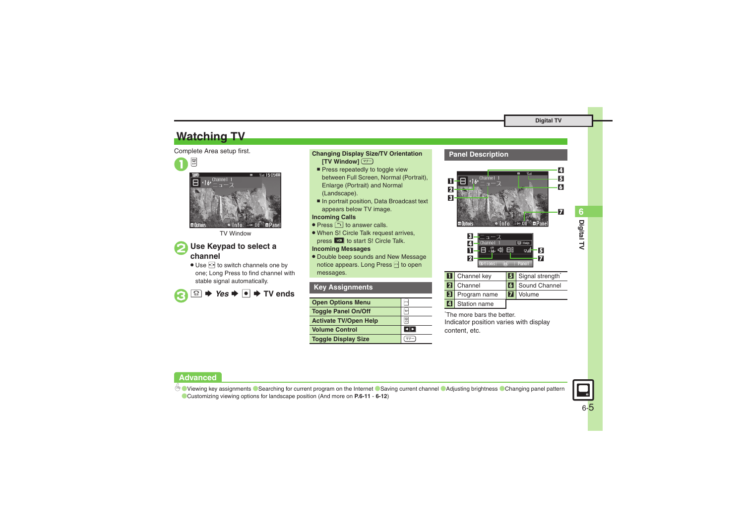## <span id="page-4-0"></span>**Watching TV**

### Complete Area setup first.





TV Window

# 2**Use Keypad to select a channel**

• Use  $\odot$  to switch channels one by one; Long Press to find channel with stable signal automatically.

 $\bm{\Theta}$  $\Omega$ S $\rightarrow$  Yes  $\rightarrow$  **O**  $\rightarrow$  TV ends

### **Changing Display Size/TV Orientation [TV Window]**  )

- Press repeatedly to toggle view between Full Screen, Normal (Portrait), Enlarge (Portrait) and Normal (Landscape).
- In portrait position, Data Broadcast text appears below TV image.

### **Incoming Calls**

- Press  $\cap$  to answer calls.
- . When S! Circle Talk request arrives, press **Fol** to start S! Circle Talk.

### **Incoming Messages**

. Double beep sounds and New Message notice appears. Long Press **A** to open messages.

### **Key Assignments**

| <b>Open Options Menu</b>     |    |
|------------------------------|----|
| <b>Toggle Panel On/Off</b>   |    |
| <b>Activate TV/Open Help</b> | 四井 |
| <b>Volume Control</b>        |    |
| <b>Toggle Display Size</b>   |    |

### **Panel Description**



| <b>II</b> Channel key | <b>B</b> Signal strength |
|-----------------------|--------------------------|
| <b>2</b> Channel      | <b>6</b> Sound Channel   |
| <b>B</b> Program name | Volume                   |
| <b>4</b> Station name |                          |

\*The more bars the better.Indicator position varies with display content, etc.

### **Advanced**

b O[Viewing key assignments](#page-10-8) C[Searching for current program on the Internet](#page-10-9) C[Saving current channel](#page-10-10) C[Adjusting brightness](#page-10-11) C[Changing panel pattern](#page-10-12) ([Customizing viewing options for landscape position](#page-10-13) (And more on **[P.6-11](#page-10-8)** - **[6-12](#page-11-0)**)



6-5

**Digital TV 6**

Digital TV

6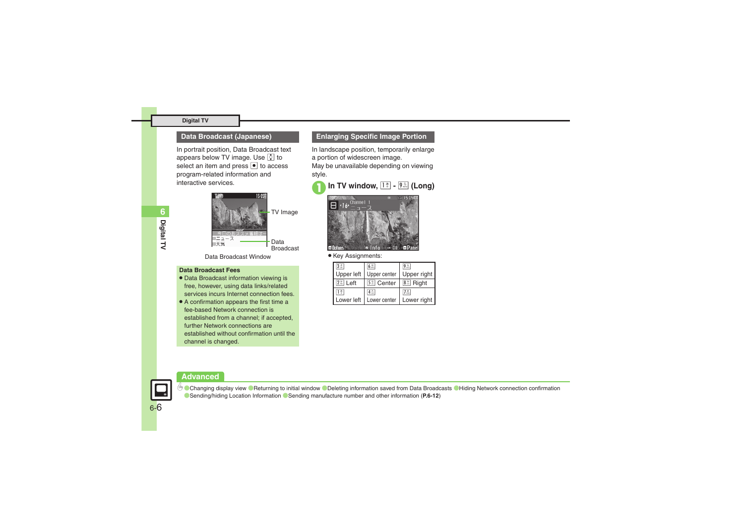### **Data Broadcast (Japanese)**

In portrait position, Data Broadcast text appears below TV image. Use  $\Omega$  to select an item and press  $\bullet$  to access program-related information and interactive services.



Data Broadcast Window

### **Data Broadcast Fees**

- . Data Broadcast information viewing is free, however, using data links/related services incurs Internet connection fees.
- . A confirmation appears the first time a fee-based Network connection is established from a channel; if accepted, further Network connections are established without confirmation until the channel is changed.

### **Enlarging Specific Image Portion**

In landscape position, temporarily enlarge a portion of widescreen image.

May be unavailable depending on viewing style.





 $\bullet$  Key Assignments:

| $3 \frac{8}{10}$      | 6点                    | 92                                  |
|-----------------------|-----------------------|-------------------------------------|
| Upper left            | Upper center          | Upper right                         |
| Left<br>$ 2 \times  $ | 5 <sup>%</sup> Center | 8% Right                            |
| 1 ≊                   | $4 \approx 1$         | $7\overset{\pm}{\phantom{}_{\sim}}$ |
| Lower left            | Lower center          | Lower right                         |

#### **Advanced**



**<sup>56</sup> [Changing display view](#page-11-1) C[Returning to initial window](#page-11-2) C[Deleting information saved from Data Broadcasts](#page-11-3) C[Hiding Network connection confirmation](#page-11-4)** ([Sending/hiding Location Information](#page-11-5) ([Sending manufacture number and other information](#page-11-6) (**[P.6-12](#page-11-1)**)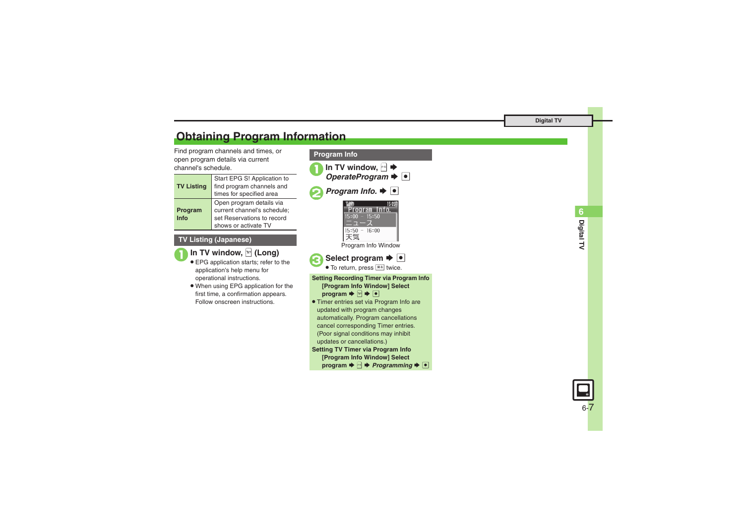## <span id="page-6-0"></span>**Obtaining Program Information**

Find program channels and times, or open program details via current channel's schedule.

| <b>TV Listing</b> | Start EPG S! Application to<br>find program channels and<br>times for specified area  |
|-------------------|---------------------------------------------------------------------------------------|
| Program           | Open program details via<br>current channel's schedule;<br>set Reservations to record |
| Info              | shows or activate TV                                                                  |

### **TV Listing (Japanese)**

**1In TV window, <b>P** (Long)

- . EPG application starts; refer to the application's help menu for operational instructions.
- . When using EPG application for the first time, a confirmation appears. Follow onscreen instructions.



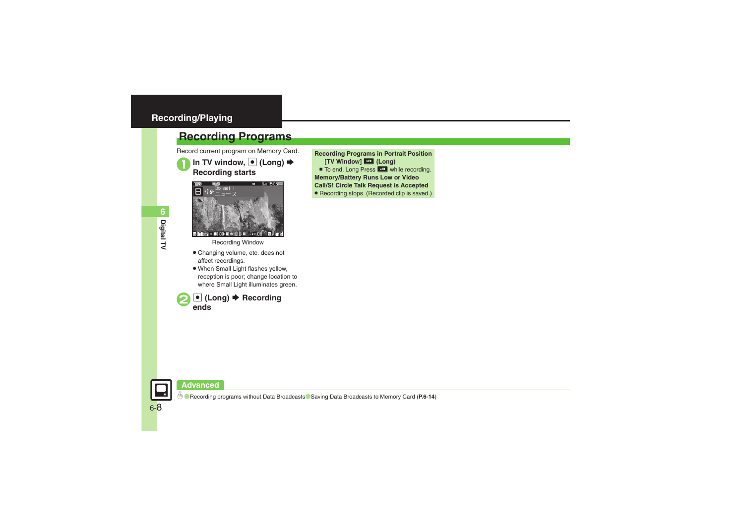### <span id="page-7-1"></span><span id="page-7-0"></span>**Recording Programs**

Record current program on Memory Card.

**In TV window, ● (Long) → Recording starts** 



Recording Window

- . Changing volume, etc. does not affect recordings.
- . When Small Light flashes yellow, reception is poor; change location to where Small Light illuminates green.



**Recording Programs in Portrait Position [TV Window]** H **(Long)**

- To end, Long Press **Hourie While recording.**
- **Memory/Battery Runs Low or Video**

**Call/S! Circle Talk Request is Accepted**

. Recording stops. (Recorded clip is saved.)



**C** [Recording programs without Data Broadcasts](#page-13-0) C[Saving Data Broadcasts to Memory Card](#page-13-1) ([P.6-14](#page-13-0))

**Digital TV 6**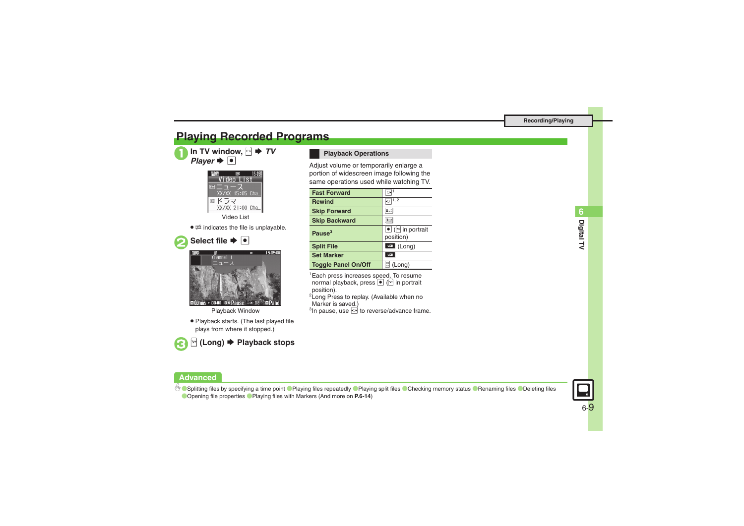## <span id="page-8-0"></span>**Playing Recorded Programs**

In TV window,  $\mathbb{R} \rightarrow TV$ <br>*Player*  $\rightarrow \bullet$ 



Video List

 $\bullet$   $\overline{\mathrm{\mathfrak{m}}}$  indicates the file is unplayable.

15:05年



m Options > 00:00:10 . Pause : 008  $\n **P**$ an

Playback Window

. Playback starts. (The last played file plays from where it stopped.)



### 3<sup>A</sup> **(Long)** S **Playback stops**

### **Playback Operations**

Adjust volume or temporarily enlarge a portion of widescreen image following the same operations used while watching TV.

| <b>Fast Forward</b>        |                                                       |
|----------------------------|-------------------------------------------------------|
| <b>Rewind</b>              | $\overline{\odot}$ 1, 2                               |
| <b>Skip Forward</b>        | #110                                                  |
| <b>Skip Backward</b>       | 米兰                                                    |
| Pause $3$                  | $\bullet$ ( $\triangleright$ in portrait<br>position) |
| <b>Split File</b>          | $\mathbb{E}$ (Long)                                   |
| <b>Set Marker</b>          | ٣o                                                    |
| <b>Toggle Panel On/Off</b> | 똃<br>(Long)                                           |

1Each press increases speed. To resume normal playback, press  $\bullet$  ( $\triangledown$  in portrait position).

<sup>2</sup> Long Press to replay. (Available when no Marker is saved.)

 $3$ In pause, use  $\odot$  to reverse/advance frame.



C[Splitting files by specifying a time point](#page-13-2) C[Playing files repeatedly](#page-13-3) C[Playing split files](#page-13-4) C[Checking memory status](#page-13-5) C[Renaming files](#page-13-6) C[Deleting files](#page-13-7) ([Opening file properties](#page-13-8) ([Playing files with Markers](#page-13-9) (And more on **[P.6-14](#page-13-2)**)

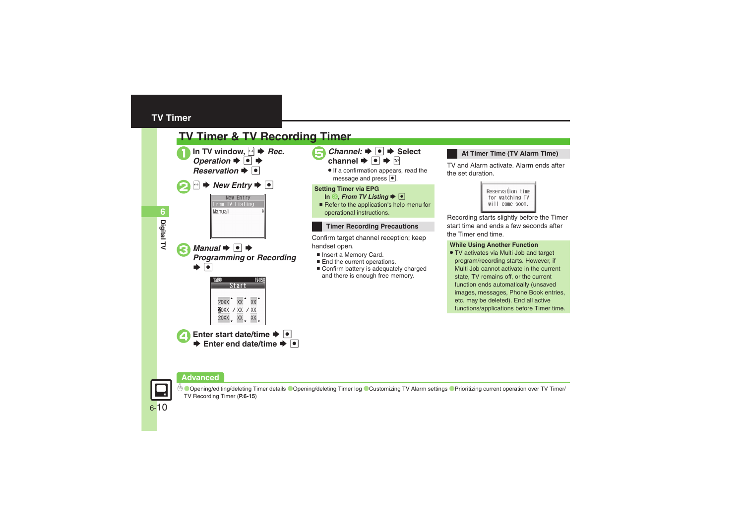### <span id="page-9-0"></span>**TV Timer**

<span id="page-9-1"></span>

### **At Timer Time (TV Alarm Time)**

TV and Alarm activate. Alarm ends after

| Reservation time |
|------------------|
| for watching TV  |
| will come soon.  |
|                  |

Recording starts slightly before the Timer start time and ends a few seconds after

### **While Using Another Function**

. TV activates via Multi Job and target program/recording starts. However, if Multi Job cannot activate in the current state, TV remains off, or the current function ends automatically (unsaved images, messages, Phone Book entries, etc. may be deleted). End all active functions/applications before Timer time.

### **Advanced**



**[Opening/editing/deleting Timer details](#page-14-0) Copening/deleting Timer log [Customizing TV Alarm settings](#page-14-2) C[Prioritizing current operation over TV Timer/](#page-14-3)** [TV Recording Timer](#page-14-3) (**[P.6-15](#page-14-0)**)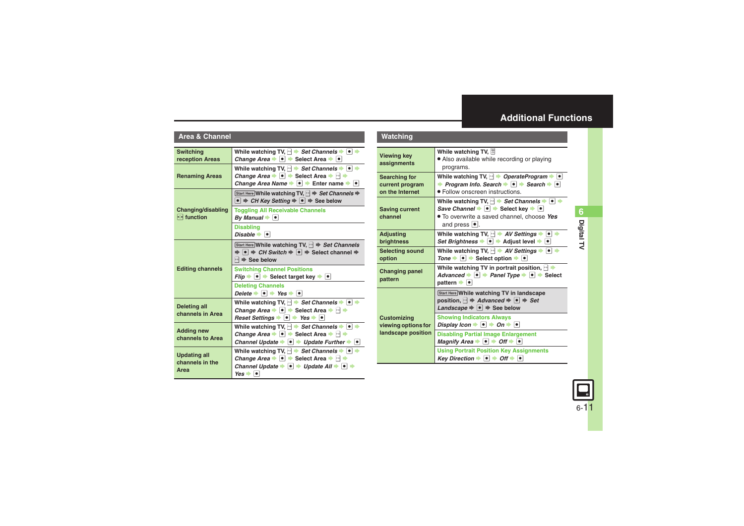### <span id="page-10-0"></span>**Additional Functions**

#### **Area & Channel**

<span id="page-10-7"></span><span id="page-10-6"></span><span id="page-10-5"></span><span id="page-10-4"></span><span id="page-10-3"></span><span id="page-10-2"></span><span id="page-10-1"></span>

| <b>Switching</b>                               | While watching TV, $\Box$ $\blacktriangleright$ Set Channels $\blacktriangleright$ $\lnot$ $\Box$                                                                                                                                                                                                                                                                                                                                                    |  |
|------------------------------------------------|------------------------------------------------------------------------------------------------------------------------------------------------------------------------------------------------------------------------------------------------------------------------------------------------------------------------------------------------------------------------------------------------------------------------------------------------------|--|
| reception Areas                                | Change Area $\blacktriangleright$ $\lvert \bullet \rvert$ $\blacktriangleright$ Select Area $\blacktriangleright$ $\lvert \bullet \rvert$                                                                                                                                                                                                                                                                                                            |  |
| <b>Renaming Areas</b>                          | While watching TV, $\ket{\cdot}$ $\Rightarrow$ Set Channels $\Rightarrow$ $\ket{\cdot}$<br>Change Area $\blacktriangleright \lceil \bullet \rceil$ $\blacktriangleright$ Select Area $\blacktriangleright \lceil \bullet \rceil$ $\blacktriangleright$<br>Change Area Name $\blacktriangleright \lceil \bullet \rceil$ $\blacktriangleright$ Enter name $\blacktriangleright \lceil \bullet \rceil$                                                  |  |
|                                                | Start Here While watching TV, $\boxed{\triangleleft}$ $\Rightarrow$ Set Channels $\Rightarrow$<br>$\bullet$ $\Rightarrow$ CH Key Setting $\Rightarrow$ $\bullet$ $\Rightarrow$ See below                                                                                                                                                                                                                                                             |  |
| <b>Changing/disabling</b><br>$\odot$ function  | <b>Toggling All Receivable Channels</b><br>By Manual $\blacktriangleright$ $\blacktriangleright$                                                                                                                                                                                                                                                                                                                                                     |  |
|                                                | <b>Disabling</b><br>Disable $\bullet$ $\bullet$                                                                                                                                                                                                                                                                                                                                                                                                      |  |
| <b>Editing channels</b>                        | Start Here While watching TV, $\mathbb{R} \Rightarrow$ Set Channels<br>$\Rightarrow$ $\bullet$ $\Rightarrow$ CH Switch $\Rightarrow$ $\bullet$ $\Rightarrow$ Select channel $\Rightarrow$<br>$\mathbb{R}$ $\Rightarrow$ See below                                                                                                                                                                                                                    |  |
|                                                | <b>Switching Channel Positions</b><br>$Flip \rightarrow \bullet$ Select target key $\rightarrow \bullet$                                                                                                                                                                                                                                                                                                                                             |  |
|                                                | <b>Deleting Channels</b><br>Delete $\bullet$ $\bullet$ Yes $\bullet$ $\bullet$                                                                                                                                                                                                                                                                                                                                                                       |  |
| <b>Deleting all</b><br>channels in Area        | While watching TV, $\rightarrow$ Set Channels $\rightarrow$ $\rightarrow$<br>Change Area $\blacktriangleright \lceil \bullet \rceil$ $\blacktriangleright$ Select Area $\blacktriangleright \lceil \bullet \rceil$ $\blacktriangleright$<br>Reset Settings $\bullet$ $\bullet$ Yes $\bullet$ $\bullet$                                                                                                                                               |  |
| <b>Adding new</b><br>channels to Area          | While watching TV, $\rightarrow$ Set Channels $\rightarrow$ $\rightarrow$<br>Change Area $\blacktriangleright \lceil \bullet \rceil$ $\blacktriangleright$ Select Area $\blacktriangleright \lceil \bullet \rceil$ $\blacktriangleright$<br>Channel Update $\rightarrow \bullet$ $\rightarrow$ Update Further $\rightarrow \bullet$                                                                                                                  |  |
| <b>Updating all</b><br>channels in the<br>Area | While watching TV, $\mathbb{R}$ $\rightarrow$ Set Channels $\rightarrow$ $\boxed{\bullet}$<br>Change Area $\blacktriangleright \lceil \bullet \rceil$ $\blacktriangleright$ Select Area $\blacktriangleright \lceil \bullet \rceil$ $\blacktriangleright$<br>Channel Update $\blacktriangleright \lceil \bullet \rceil$ $\blacktriangleright$ Update All $\blacktriangleright \lceil \bullet \rceil$ $\blacktriangleright$<br>$Yes \rightarrow \Box$ |  |

<span id="page-10-13"></span><span id="page-10-12"></span><span id="page-10-11"></span><span id="page-10-10"></span><span id="page-10-9"></span><span id="page-10-8"></span>

| Watching                                                   |                                                                                                                                                                                                               |  |
|------------------------------------------------------------|---------------------------------------------------------------------------------------------------------------------------------------------------------------------------------------------------------------|--|
| <b>Viewing key</b><br>assignments                          | While watching TV, $\left \mathbb{S}\right $<br>• Also available while recording or playing<br>programs.                                                                                                      |  |
| <b>Searching for</b><br>current program<br>on the Internet | While watching TV, $\rightarrow$ OperateProgram $\rightarrow$ $\bullet$<br>→ Program Info. Search $\rightarrow \blacksquare$ Search $\rightarrow \blacksquare$<br>• Follow onscreen instructions.             |  |
| <b>Saving current</b><br>channel                           | While watching TV, $\rightarrow$ Set Channels $\rightarrow \bullet$<br>Save Channel $\bullet$ $\bullet$ Select key $\bullet$ $\bullet$<br>• To overwrite a saved channel, choose Yes<br>and press $\bullet$ . |  |
| <b>Adjusting</b><br><b>brightness</b>                      | While watching TV, $\rightarrow$ AV Settings $\rightarrow$<br>$\bullet$<br>Set Brightness → ● → Adjust level → ●                                                                                              |  |
| <b>Selecting sound</b><br>option                           | While watching TV, $\rightarrow$ AV Settings $\rightarrow$ $\rightarrow$<br>Tone $\rightarrow \bullet$ Select option $\rightarrow \bullet$                                                                    |  |
| <b>Changing panel</b><br>pattern                           | While watching TV in portrait position, $\mathbb{R}$ $\blacktriangleright$<br>Advanced $\rightarrow \bullet$ Panel Type $\rightarrow \bullet$ Select<br>$pattern \rightarrow \bullet$                         |  |
| <b>Customizing</b><br>viewing options for                  | Start Here While watching TV in landscape<br>position, $\rightarrow$ Advanced $\rightarrow$ $\rightarrow$ Set<br>Landscape $\Rightarrow$ $\bullet$ $\Rightarrow$ See below                                    |  |
|                                                            | <b>Showing Indicators Always</b><br>Display Icon $\rightarrow$ 0 $\rightarrow$ 0n $\rightarrow$ 0                                                                                                             |  |
| landscape position                                         | <b>Disabling Partial Image Enlargement</b><br>Magnify Area $\rightarrow \bullet$ $\rightarrow$ Off $\rightarrow \bullet$                                                                                      |  |
|                                                            | <b>Using Portrait Position Key Assignments</b><br>Key Direction $\rightarrow \bullet$ $\rightarrow$ Off $\rightarrow \bullet$                                                                                 |  |

**Digital TV 6**

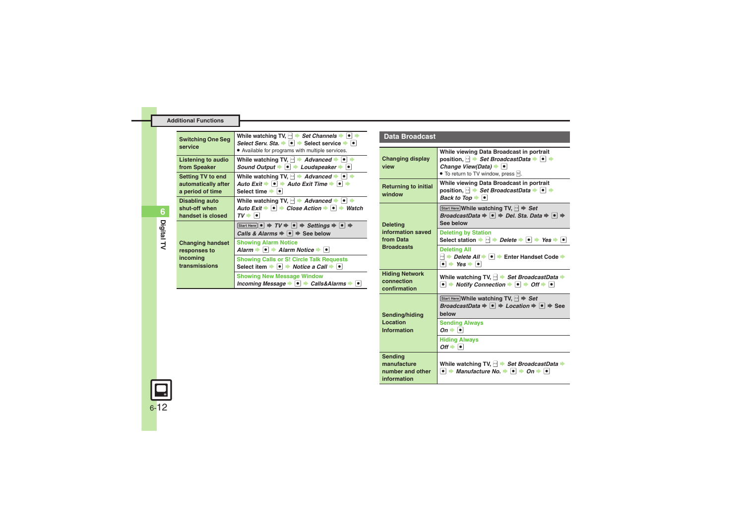#### **Additional Functions**

<span id="page-11-0"></span>

| <b>Switching One Seg</b><br>service                          | While watching TV, $ \cdot $ > Set Channels $\blacktriangleright$ $\lceil \bullet \rceil$<br>Select Serv. Sta. $\bullet$ $\bullet$ $\bullet$ Select service $\bullet$ $\bullet$<br>• Available for programs with multiple services.    |
|--------------------------------------------------------------|----------------------------------------------------------------------------------------------------------------------------------------------------------------------------------------------------------------------------------------|
| <b>Listening to audio</b><br>from Speaker                    | While watching TV, $ \cdot $ Advanced $ \cdot $<br>Sound Output $\bullet$ $\bullet$ Loudspeaker $\bullet$ $\bullet$                                                                                                                    |
| Setting TV to end<br>automatically after<br>a period of time | While watching TV, $\rightarrow$ Advanced $\rightarrow$ $\rightarrow$<br>Auto Exit $\blacktriangleright \lceil \bullet \rceil$ $\Rightarrow$ Auto Exit Time $\blacktriangleright \lceil \bullet \rceil$<br>Select time <sup>→</sup>  • |
| Disabling auto<br>shut-off when<br>handset is closed         | While watching TV, $\rightarrow$ Advanced $\rightarrow$ $\bullet$<br>Auto Exit $\Rightarrow$ $\bullet \Rightarrow$ Close Action $\Rightarrow$ $\circ \Rightarrow$ Watch<br>7V → I•I                                                    |
|                                                              | Start Here $\vert \bullet \vert \Rightarrow TV \Rightarrow \vert \bullet \vert \Rightarrow$ Settings $\Rightarrow \vert \bullet \vert \Rightarrow$<br>Calls & Alarms $\Rightarrow$ $\bullet$ $\Rightarrow$ See below                   |
| <b>Changing handset</b><br>responses to                      | <b>Showing Alarm Notice</b><br>Alarm $\rightarrow \rightarrow$ Alarm Notice $\rightarrow \rightarrow$                                                                                                                                  |
| incoming<br>transmissions                                    | <b>Showing Calls or S! Circle Talk Requests</b><br>Select item $\rightarrow \bullet$ Notice a Call $\rightarrow \bullet$                                                                                                               |
|                                                              | <b>Showing New Message Window</b><br>Incoming Message $\rightarrow$ $\bullet$ $\rightarrow$ Calls&Alarms $\rightarrow$ $\bullet$                                                                                                       |

#### **Data Broadcast**

<span id="page-11-6"></span><span id="page-11-5"></span><span id="page-11-4"></span><span id="page-11-3"></span><span id="page-11-2"></span><span id="page-11-1"></span>

| <b>Changing display</b><br>view                                        | While viewing Data Broadcast in portrait<br>position, $\blacksquare$ $\blacktriangleright$ Set BroadcastData $\blacktriangleright$ $\blacksquare$ $\blacktriangleright$<br>Change View(Data) $\rightarrow \bullet$<br>• To return to TV window, press $\mathbb{F}$ . |
|------------------------------------------------------------------------|----------------------------------------------------------------------------------------------------------------------------------------------------------------------------------------------------------------------------------------------------------------------|
| <b>Returning to initial</b><br>window                                  | While viewing Data Broadcast in portrait<br>position, $\blacksquare$ $\blacktriangleright$ Set BroadcastData $\blacktriangleright$ $\blacksquare$ $\blacktriangleright$<br>Back to Top $\bullet$ $\bullet$                                                           |
| <b>Deleting</b><br>information saved<br>from Data<br><b>Broadcasts</b> | Start Here While watching TV, $\mathbb{R} \rightarrow$ Set<br>BroadcastData $\Rightarrow$ $\bullet$ $\Rightarrow$ Del. Sta. Data $\Rightarrow$ $\bullet$ $\Rightarrow$<br>See below                                                                                  |
|                                                                        | <b>Deleting by Station</b><br>Select station $\Rightarrow$ $\Box \Rightarrow$ Delete $\Rightarrow$ $\circ$ $\Rightarrow$ Yes $\Rightarrow$ $\circ$                                                                                                                   |
|                                                                        | <b>Deleting All</b><br>A Delete All → O → Enter Handset Code →<br>$\bullet \bullet$ Yes $\bullet$ $\bullet$                                                                                                                                                          |
| <b>Hiding Network</b><br>connection<br>confirmation                    | While watching TV, $\mathbb{R}$ $\blacktriangleright$ Set BroadcastData $\blacktriangleright$<br>$\bullet$ $\bullet$ Notify Connection $\bullet$ $\bullet$ $\bullet$ Off $\bullet$ $\bullet$                                                                         |
| Sending/hiding<br>Location<br>Information                              | Start Here While watching TV, $\mathbb{R} \Rightarrow$ Set<br><i>BroadcastData</i> $\Rightarrow$ $\bullet$ $\Rightarrow$ <i>Location</i> $\Rightarrow$ $\circ$ $\Rightarrow$ See<br>helow                                                                            |
|                                                                        | <b>Sending Always</b><br>$On \rightarrow \Box$                                                                                                                                                                                                                       |
|                                                                        | <b>Hiding Always</b><br>$Off \rightarrow \Box$                                                                                                                                                                                                                       |
| <b>Sending</b><br>manufacture<br>number and other<br>information       | While watching TV, $\Box \rightarrow$ Set BroadcastData $\rightarrow$<br>$\bullet$ $\bullet$ Manufacture No. $\bullet$ $\bullet$ $\bullet$ On $\bullet$ $\bullet$                                                                                                    |



**Digital TV 6**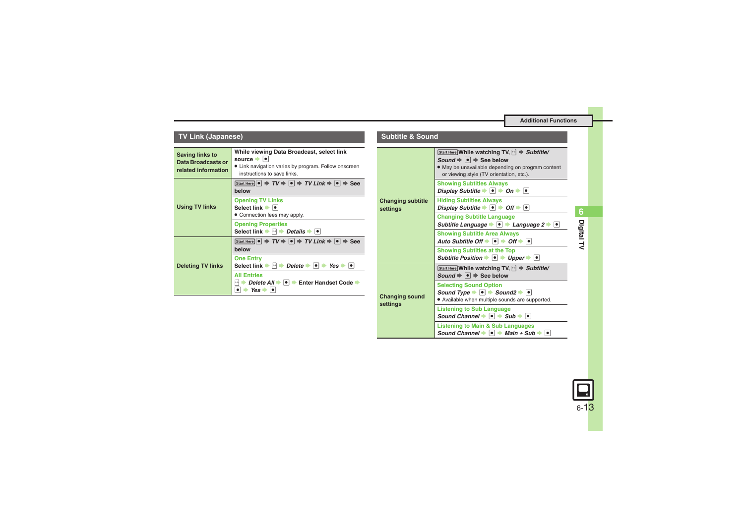| <b>TV Link (Japanese)</b>                                                  |                                                                                                                                                                                                                     | <b>Subtitle &amp; Sound</b>          |                                                                                                                                                                                                                           |
|----------------------------------------------------------------------------|---------------------------------------------------------------------------------------------------------------------------------------------------------------------------------------------------------------------|--------------------------------------|---------------------------------------------------------------------------------------------------------------------------------------------------------------------------------------------------------------------------|
| <b>Saving links to</b><br><b>Data Broadcasts or</b><br>related information | While viewing Data Broadcast, select link<br>source      <br>• Link navigation varies by program. Follow onscreen<br>instructions to save links.                                                                    |                                      | Start Here While watching TV, $ \cdot $ $\Rightarrow$ Subtitle/<br>Sound $\Rightarrow$ $\bullet$ $\Rightarrow$ See below<br>. May be unavailable depending on program content<br>or viewing style (TV orientation, etc.). |
|                                                                            | Start Here $\bullet$ $\Rightarrow$ $TV \Rightarrow \bullet$ $\Rightarrow$ $TV$ $Link \Rightarrow \bullet$ $\Rightarrow$ See<br>below                                                                                |                                      | <b>Showing Subtitles Always</b><br>Display Subtitle $\rightarrow$ $\bullet$ $\rightarrow$ On $\rightarrow$ $\bullet$                                                                                                      |
| <b>Using TV links</b>                                                      | <b>Opening TV Links</b><br>Select link $\blacktriangleright$ $\blacktriangleright$                                                                                                                                  | <b>Changing subtitle</b><br>settings | <b>Hiding Subtitles Always</b><br>Display Subtitle $\blacktriangleright$ $\blacksquare$ $\blacktriangleright$ Off $\blacktriangleright$ $\blacksquare$                                                                    |
|                                                                            | • Connection fees may apply.<br><b>Opening Properties</b>                                                                                                                                                           |                                      | <b>Changing Subtitle Language</b><br>Subtitle Language $\rightarrow \bullet$ $\rightarrow$ Language 2 $\rightarrow \bullet$                                                                                               |
| <b>Deleting TV links</b>                                                   | Select link $\blacktriangleright \lnot$ Details $\blacktriangleright$ $\blacksquare$<br>Start Here $\bullet$ $\Rightarrow$ $TV \Rightarrow \bullet$ $\Rightarrow$ $TV$ $Link \Rightarrow \bullet$ $\Rightarrow$ See |                                      | <b>Showing Subtitle Area Always</b><br>Auto Subtitle Off $\blacktriangleright$ $\lceil \bullet \rceil$ $\blacktriangleright$ Off $\blacktriangleright$ $\lceil \bullet \rceil$                                            |
|                                                                            | below<br><b>One Entry</b>                                                                                                                                                                                           |                                      | <b>Showing Subtitles at the Top</b><br>Subtitle Position $\rightarrow \bullet$ $\rightarrow$ Upper $\rightarrow \bullet$                                                                                                  |
|                                                                            | Select link $\Rightarrow$ $\left[\rightarrow \right] \Rightarrow$ Delete $\Rightarrow$ $\left[\bullet \right] \Rightarrow$ Yes $\Rightarrow$ $\left[\bullet \right]$<br><b>All Entries</b>                          |                                      | Start Here While watching TV, $\rightarrow$ Subtitle/<br>Sound $\Rightarrow$ $\bullet$ $\Rightarrow$ See below                                                                                                            |
|                                                                            | <b>→ Delete All → <math>\bullet</math> + Enter Handset Code +</b><br>$\bullet \bullet$ Yes $\bullet$ $\bullet$                                                                                                      | <b>Changing sound</b>                | <b>Selecting Sound Option</b><br>Sound Type $\rightarrow \bullet$ $\rightarrow$ Sound2 $\rightarrow \bullet$<br>• Available when multiple sounds are supported.                                                           |

**settings**

### **TV Link (Japanese)**



### **Listening to Main & Sub Languages** *Sound Channel*  $\rightarrow$  <sup>●</sup> *Main + Sub* → ●

**Listening to Sub Language**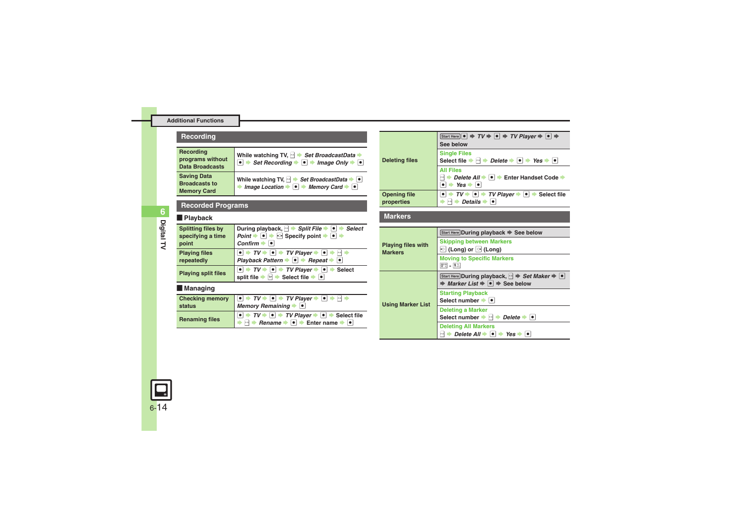### **Recording**

<span id="page-13-1"></span><span id="page-13-0"></span>

| Recording<br>programs without<br><b>Data Broadcasts</b>          | While watching TV, $\blacktriangleright$ Set BroadcastData<br>Set Recording $\rightarrow \Box$ Image Only $\rightarrow \Box$                                                                   |
|------------------------------------------------------------------|------------------------------------------------------------------------------------------------------------------------------------------------------------------------------------------------|
| <b>Saving Data</b><br><b>Broadcasts to</b><br><b>Memory Card</b> | While watching TV, $\rightarrow$ Set BroadcastData $\rightarrow \bullet$<br>Image Location $\blacktriangleright$ $\blacktriangleright$ Memory Card $\blacktriangleright$ $\blacktriangleright$ |

### **Recorded Programs**

### [ **Playback**

<span id="page-13-3"></span><span id="page-13-2"></span>

| <b>Splitting files by</b>  | During playback, $\Box$ $\rightarrow$ Split File $\rightarrow$ 0 $\rightarrow$ Select                                                                                                                                                        |
|----------------------------|----------------------------------------------------------------------------------------------------------------------------------------------------------------------------------------------------------------------------------------------|
| specifying a time          | Point $\blacktriangleright \lbrack \bullet \rbrack \blacktriangleright \lbrack \circlearrowleft \rbrack$ Specify point $\blacktriangleright \lbrack \bullet \rbrack \blacktriangleright$                                                     |
| point                      | $Confirm \rightarrow$                                                                                                                                                                                                                        |
| <b>Playing files</b>       | $\boxed{\bullet} \rightarrow \mathit{TV} \rightarrow \boxed{\bullet} \rightarrow \mathit{TV}$ Player $\rightarrow \boxed{\bullet} \rightarrow \boxed{\bullet}$                                                                               |
| repeatedly                 | Playback Pattern → ● Pepeat →                                                                                                                                                                                                                |
| <b>Playing split files</b> | $\bullet$ $\Rightarrow$ TV $\Rightarrow$ $\bullet$ $\Rightarrow$ TV Player $\Rightarrow$ $\bullet$ $\Rightarrow$ Select<br>$\boxed{v}$ $\blacktriangleright$ Select file $\blacktriangleright$ $\boxed{\bullet}$<br>split file $\Rightarrow$ |
| Managing                   |                                                                                                                                                                                                                                              |

### <span id="page-13-4"></span>[ **Managing**

<span id="page-13-6"></span><span id="page-13-5"></span>

| status                | Memory Remaining $\rightarrow$ $\rightarrow$                                                                                                                                                                                                                                                                 |
|-----------------------|--------------------------------------------------------------------------------------------------------------------------------------------------------------------------------------------------------------------------------------------------------------------------------------------------------------|
| <b>Renaming files</b> | $\boxed{\bullet}$ $\rightarrow$ $TV$ $\rightarrow$ $\boxed{\bullet}$ $\rightarrow$ $TV$ Player $\rightarrow$ $\boxed{\bullet}$ $\rightarrow$ Select file<br>$\triangleright$ $\lvert \cdot \rvert$ Rename $\blacktriangleright$ $\lvert \cdot \rvert$ Enter name $\blacktriangleright$ $\lvert \cdot \rvert$ |

<span id="page-13-8"></span><span id="page-13-7"></span>

| <b>Deleting files</b>             | Start Here $\bullet \Rightarrow TV \Rightarrow \bullet \Rightarrow TV$ Player $\Rightarrow \bullet \Rightarrow \bullet$<br>See below                                                                      |
|-----------------------------------|-----------------------------------------------------------------------------------------------------------------------------------------------------------------------------------------------------------|
|                                   | <b>Single Files</b><br>Select file $\Rightarrow$ $\rightarrow$ Pelete $\Rightarrow$ $\bullet$ $\Rightarrow$ Yes $\Rightarrow$ $\bullet$ I                                                                 |
|                                   | <b>All Files</b><br>Delete All →  ●  → Enter Handset Code →<br>$s\hbox{-} n$<br>$Yes \rightarrow \bullet$                                                                                                 |
| <b>Opening file</b><br>properties | $TV \rightarrow   \bullet   \bullet$ TV Player $\rightarrow   \bullet   \bullet$ Select file<br>Details $\bullet$<br>▸ ⊱⊧  ∎≽                                                                             |
| <b>Markers</b>                    |                                                                                                                                                                                                           |
|                                   |                                                                                                                                                                                                           |
|                                   |                                                                                                                                                                                                           |
|                                   | Start Here During playback $\Rightarrow$ See below                                                                                                                                                        |
| <b>Playing files with</b>         | <b>Skipping between Markers</b><br>$\circ$ (Long) or $\circ$ (Long)                                                                                                                                       |
| <b>Markers</b>                    | <b>Moving to Specific Markers</b><br>$0^{b*}$ = $9^{b*}$                                                                                                                                                  |
|                                   | Start Here During playback, $\left \cdot\right $ $\Rightarrow$ Set Maker $\Rightarrow$ $\left \bullet\right $<br><b>★ Marker List <math>\rightarrow \bullet</math> <math>\rightarrow</math> See below</b> |

**Select number**  $\bullet$ **Deleting a Marker**

**Deleting All Markers**

**Select number**  $\rightarrow$  **B**  $\rightarrow$  *Delete*  $\rightarrow$   $\bullet$ 

 $\blacksquare$   $\blacktriangleright$  *Delete All*  $\blacktriangleright$   $\blacksquare$   $\blacktriangleright$  Yes  $\blacktriangleright$   $\blacksquare$ 

<span id="page-13-9"></span>**Using Marker List**



**Digital TV**

**6**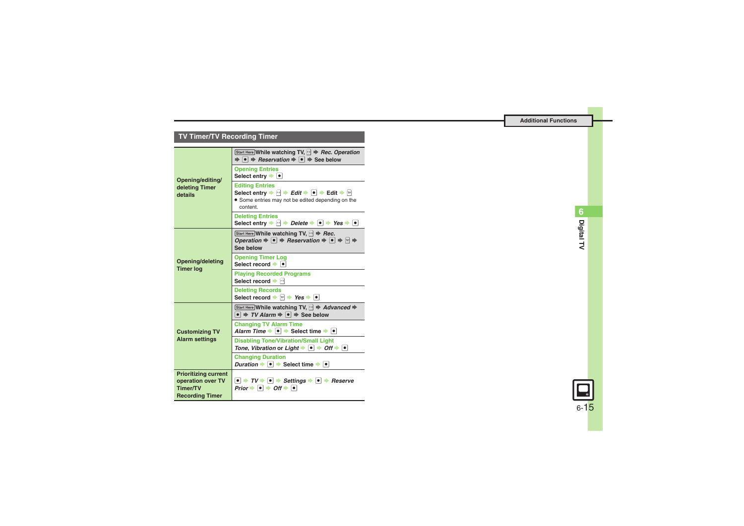### **TV Timer/TV Recording Timer**

<span id="page-14-3"></span><span id="page-14-2"></span><span id="page-14-1"></span><span id="page-14-0"></span>

| Opening/editing/<br>deleting Timer<br>details                                                 | Start Here While watching TV, $\rightarrow$ Rec. Operation<br>$\Rightarrow$ $\bullet$ $\Rightarrow$ Reservation $\Rightarrow$ $\bullet$ $\Rightarrow$ See below                                                       |
|-----------------------------------------------------------------------------------------------|-----------------------------------------------------------------------------------------------------------------------------------------------------------------------------------------------------------------------|
|                                                                                               | <b>Opening Entries</b><br>Select entry $\bullet$                                                                                                                                                                      |
|                                                                                               | <b>Editing Entries</b><br>Select entry $\Rightarrow$ सि $\Rightarrow$ Edit $\Rightarrow$ Tellit $\Rightarrow$ सि<br>• Some entries may not be edited depending on the<br>content.                                     |
|                                                                                               | <b>Deleting Entries</b><br>Select entry $\Rightarrow$ $\land \Rightarrow$ Delete $\Rightarrow \bullet \Rightarrow$ Yes $\Rightarrow \bullet$                                                                          |
| Opening/deleting<br><b>Timer log</b>                                                          | Start Here While watching TV, $\mathbb{R}^4 \Rightarrow \text{Rec.}$<br>Operation $\Rightarrow$ $\bullet$ $\Rightarrow$ Reservation $\Rightarrow$ $\bullet$ $\Rightarrow$ $\triangleright$ $\Rightarrow$<br>See below |
|                                                                                               | <b>Opening Timer Log</b><br>Select record $\bullet$ $\bullet$                                                                                                                                                         |
|                                                                                               | <b>Playing Recorded Programs</b><br>Select record $\blacktriangleright$ $\bowtie$                                                                                                                                     |
|                                                                                               | <b>Deleting Records</b><br>Select record $\rightarrow \Box \rightarrow \text{Yes} \rightarrow \Box$                                                                                                                   |
| <b>Customizing TV</b><br><b>Alarm settings</b>                                                | Start Here While watching TV, $ \cdot $ $\Rightarrow$ Advanced $\Rightarrow$<br>$\bullet$ $\Rightarrow$ TV Alarm $\Rightarrow$ $\bullet$ $\Rightarrow$ See below                                                      |
|                                                                                               | <b>Changing TV Alarm Time</b><br>Alarm Time $\blacktriangleright$ $\lceil \bullet \rceil$ $\blacktriangleright$ Select time $\blacktriangleright$ $\lceil \bullet \rceil$                                             |
|                                                                                               | <b>Disabling Tone/Vibration/Small Light</b><br>Tone, Vibration or Light $\blacktriangleright \lceil \bullet \rceil$ $\blacktriangleright$ Off $\blacktriangleright \lceil \bullet \rceil$                             |
|                                                                                               | <b>Changing Duration</b><br>Duration $\bullet$ $\bullet$ Select time $\bullet$ $\bullet$                                                                                                                              |
| <b>Prioritizing current</b><br>operation over TV<br><b>Timer/TV</b><br><b>Recording Timer</b> | $\bullet$ $\rightarrow$ TV $\rightarrow$ $\bullet$ $\rightarrow$ Settings $\rightarrow$ $\bullet$ $\rightarrow$ Reserve<br>Prior $\Rightarrow$ $\bullet$ $\Rightarrow$ Off $\Rightarrow$ $\bullet$                    |